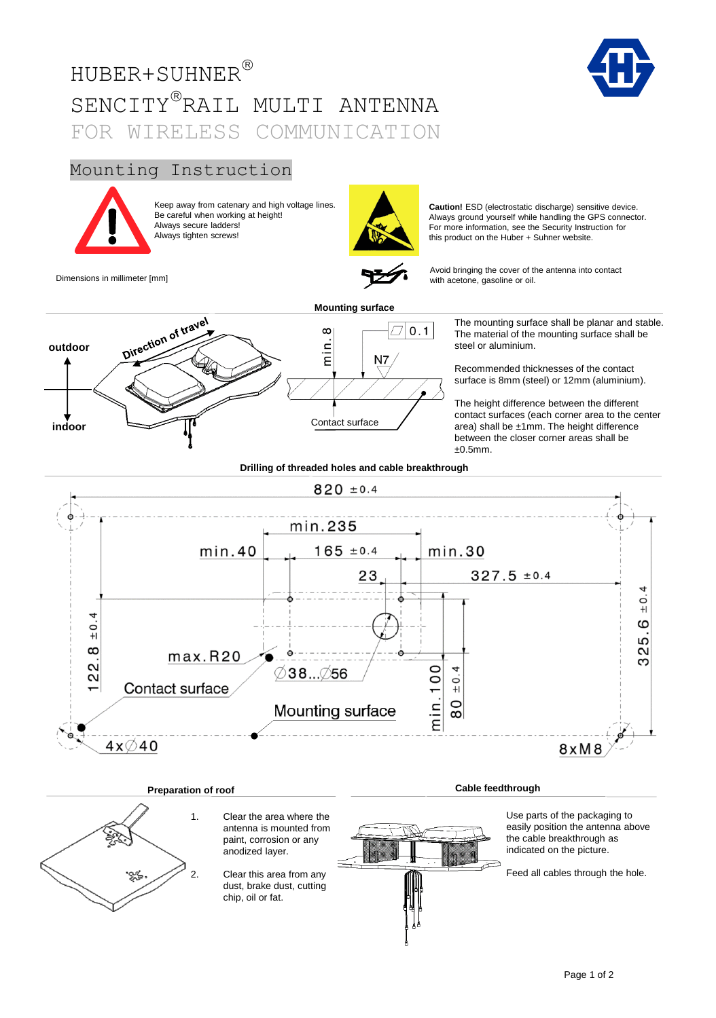# HUBER+SUHNER SENCITY®RAIL MULTI ANTENNA FOR WIRELESS COMMUNICATION





Keep away from catenary and high voltage lines. Be careful when working at height! Always secure ladders! Always tighten screws!



**Caution!** ESD (electrostatic discharge) sensitive device. Always ground yourself while handling the GPS connector. For more information, see the Security Instruction for this product on the Huber + Suhner website.

Dimensions in millimeter [mm]

Avoid bringing the cover of the antenna into contact with acetone, gasoline or oil.



The mounting surface shall be planar and stable. The material of the mounting surface shall be steel or aluminium.

Recommended thicknesses of the contact surface is 8mm (steel) or 12mm (aluminium).

The height difference between the different contact surfaces (each corner area to the center area) shall be ±1mm. The height difference between the closer corner areas shall be ±0.5mm.

**Drilling of threaded holes and cable breakthrough**



## **Preparation of roof**

1. Clear the area where the antenna is mounted from paint, corrosion or any anodized layer.

2. Clear this area from any dust, brake dust, cutting chip, oil or fat.

Use parts of the packaging to easily position the antenna above the cable breakthrough as indicated on the picture.

**Cable feedthrough**

Feed all cables through the hole.